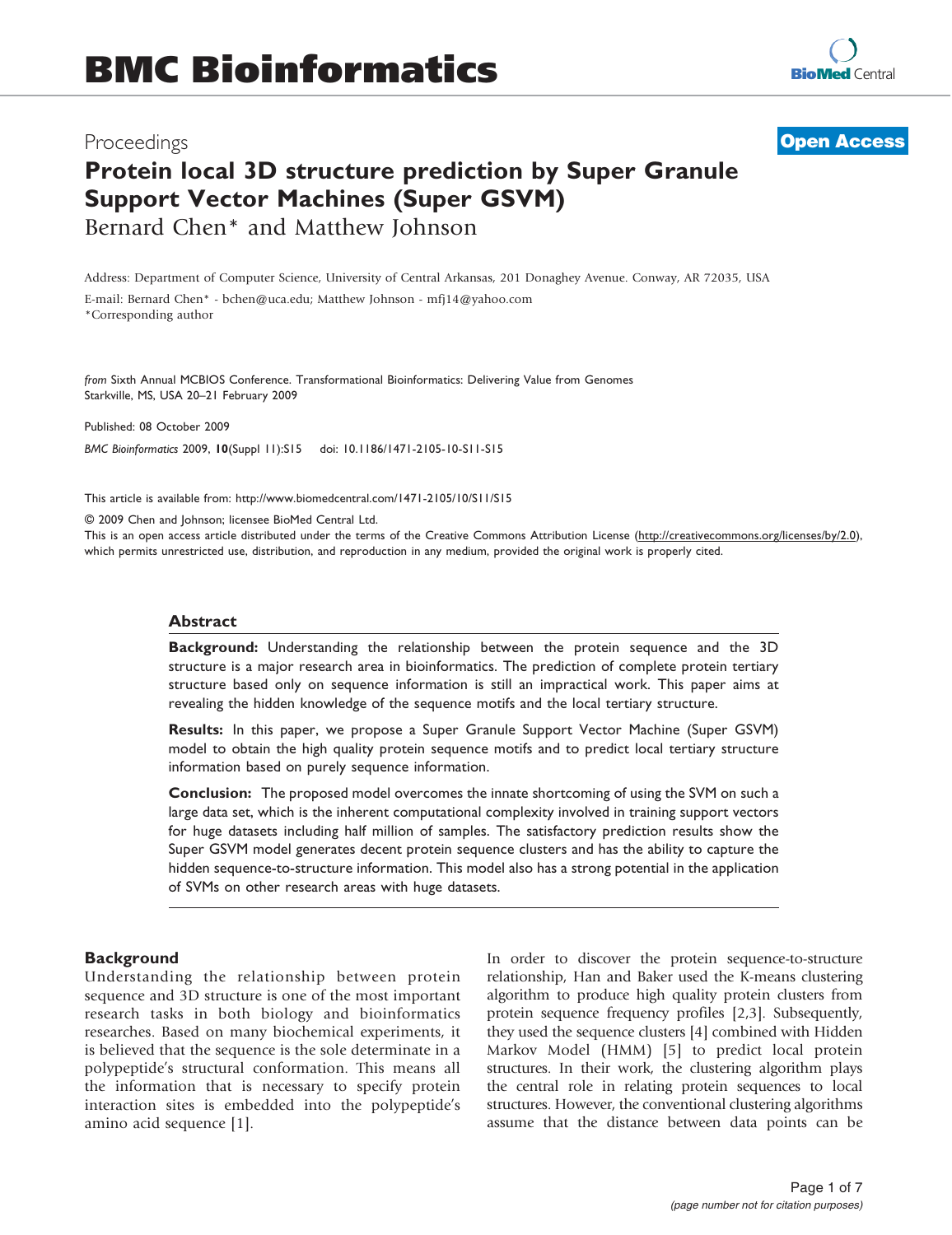## Proceedings

**[Open Access](http://www.biomedcentral.com/info/about/charter/)**

# Protein local 3D structure prediction by Super Granule Support Vector Machines (Super GSVM) Bernard Chen\* and Matthew Johnson

Address: Department of Computer Science, University of Central Arkansas, 201 Donaghey Avenue. Conway, AR 72035, USA E-mail: Bernard Chen\* - [bchen@uca.edu;](mailto:bchen@uca.edu) Matthew Johnson - [mfj14@yahoo.com](mailto:mfj14@yahoo.com) \*Corresponding author

from Sixth Annual MCBIOS Conference. Transformational Bioinformatics: Delivering Value from Genomes Starkville, MS, USA 20–21 February 2009

Published: 08 October 2009 BMC Bioinformatics 2009, 10(Suppl 11):S15 doi: 10.1186/1471-2105-10-S11-S15

This article is available from: http://www.biomedcentral.com/1471-2105/10/S11/S15

© 2009 Chen and Johnson; licensee BioMed Central Ltd.

This is an open access article distributed under the terms of the Creative Commons Attribution License [\(http://creativecommons.org/licenses/by/2.0\)](http://creativecommons.org/licenses/by/2.0), which permits unrestricted use, distribution, and reproduction in any medium, provided the original work is properly cited.

#### Abstract

Background: Understanding the relationship between the protein sequence and the 3D structure is a major research area in bioinformatics. The prediction of complete protein tertiary structure based only on sequence information is still an impractical work. This paper aims at revealing the hidden knowledge of the sequence motifs and the local tertiary structure.

Results: In this paper, we propose a Super Granule Support Vector Machine (Super GSVM) model to obtain the high quality protein sequence motifs and to predict local tertiary structure information based on purely sequence information.

Conclusion: The proposed model overcomes the innate shortcoming of using the SVM on such a large data set, which is the inherent computational complexity involved in training support vectors for huge datasets including half million of samples. The satisfactory prediction results show the Super GSVM model generates decent protein sequence clusters and has the ability to capture the hidden sequence-to-structure information. This model also has a strong potential in the application of SVMs on other research areas with huge datasets.

#### **Background**

Understanding the relationship between protein sequence and 3D structure is one of the most important research tasks in both biology and bioinformatics researches. Based on many biochemical experiments, it is believed that the sequence is the sole determinate in a polypeptide's structural conformation. This means all the information that is necessary to specify protein interaction sites is embedded into the polypeptide's amino acid sequence [\[1\]](#page-6-0).

In order to discover the protein sequence-to-structure relationship, Han and Baker used the K-means clustering algorithm to produce high quality protein clusters from protein sequence frequency profiles [[2,3](#page-6-0)]. Subsequently, they used the sequence clusters [\[4\]](#page-6-0) combined with Hidden Markov Model (HMM) [\[5\]](#page-6-0) to predict local protein structures. In their work, the clustering algorithm plays the central role in relating protein sequences to local structures. However, the conventional clustering algorithms assume that the distance between data points can be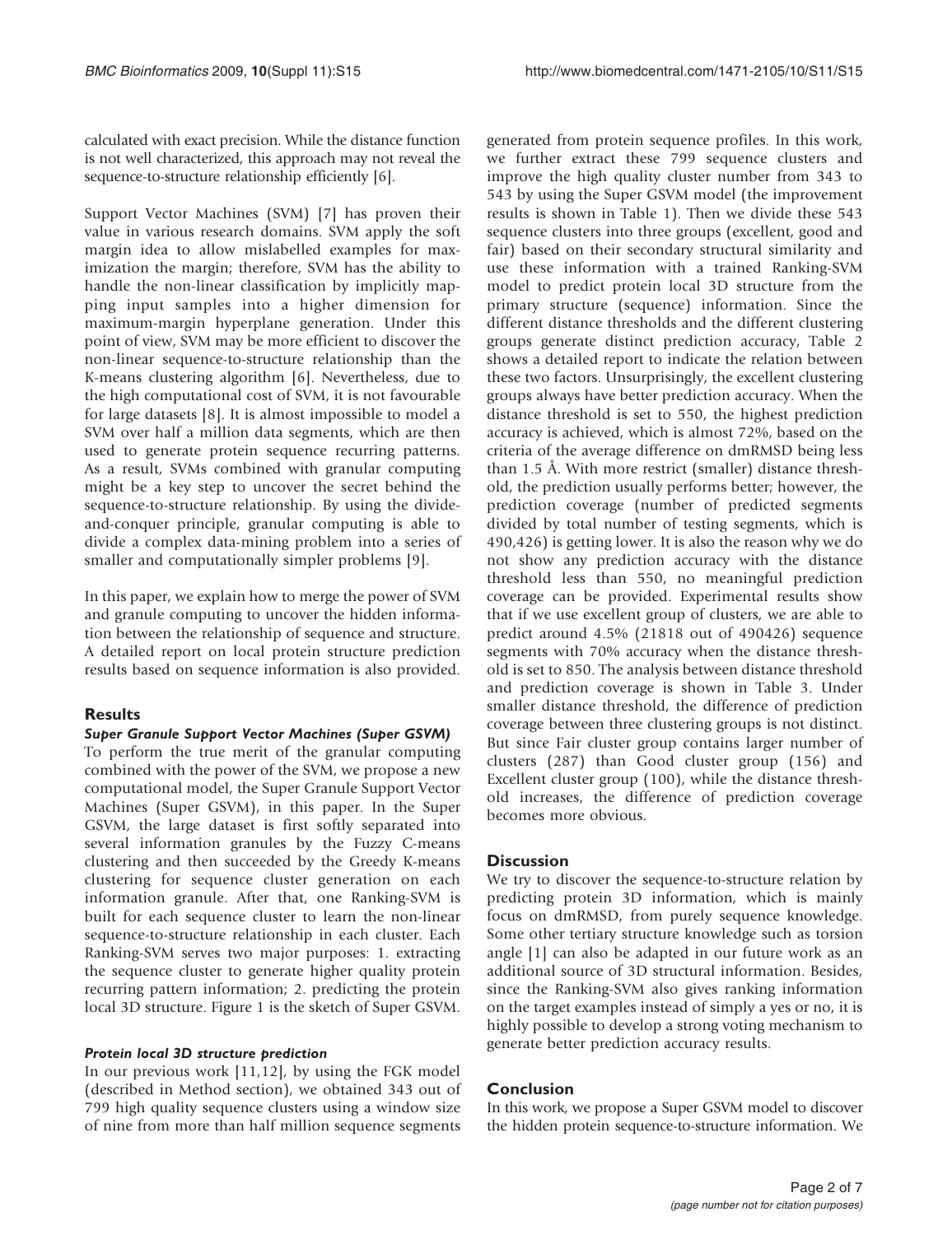calculated with exact precision. While the distance function is not well characterized, this approach may not reveal the sequence-to-structure relationship efficiently [[6\]](#page-6-0).

Support Vector Machines (SVM) [\[7\]](#page-6-0) has proven their value in various research domains. SVM apply the soft margin idea to allow mislabelled examples for maximization the margin; therefore, SVM has the ability to handle the non-linear classification by implicitly mapping input samples into a higher dimension for maximum-margin hyperplane generation. Under this point of view, SVM may be more efficient to discover the non-linear sequence-to-structure relationship than the K-means clustering algorithm [\[6\]](#page-6-0). Nevertheless, due to the high computational cost of SVM, it is not favourable for large datasets [[8](#page-6-0)]. It is almost impossible to model a SVM over half a million data segments, which are then used to generate protein sequence recurring patterns. As a result, SVMs combined with granular computing might be a key step to uncover the secret behind the sequence-to-structure relationship. By using the divideand-conquer principle, granular computing is able to divide a complex data-mining problem into a series of smaller and computationally simpler problems [[9\]](#page-6-0).

In this paper, we explain how to merge the power of SVM and granule computing to uncover the hidden information between the relationship of sequence and structure. A detailed report on local protein structure prediction results based on sequence information is also provided.

## Results

## Super Granule Support Vector Machines (Super GSVM)

To perform the true merit of the granular computing combined with the power of the SVM, we propose a new computational model, the Super Granule Support Vector Machines (Super GSVM), in this paper. In the Super GSVM, the large dataset is first softly separated into several information granules by the Fuzzy C-means clustering and then succeeded by the Greedy K-means clustering for sequence cluster generation on each information granule. After that, one Ranking-SVM is built for each sequence cluster to learn the non-linear sequence-to-structure relationship in each cluster. Each Ranking-SVM serves two major purposes: 1. extracting the sequence cluster to generate higher quality protein recurring pattern information; 2. predicting the protein local 3D structure. [Figure 1](#page-2-0) is the sketch of Super GSVM.

## Protein local 3D structure prediction

In our previous work [[11,12](#page-6-0)], by using the FGK model (described in Method section), we obtained 343 out of 799 high quality sequence clusters using a window size of nine from more than half million sequence segments generated from protein sequence profiles. In this work, we further extract these 799 sequence clusters and improve the high quality cluster number from 343 to 543 by using the Super GSVM model (the improvement results is shown in [Table 1](#page-3-0)). Then we divide these 543 sequence clusters into three groups (excellent, good and fair) based on their secondary structural similarity and use these information with a trained Ranking-SVM model to predict protein local 3D structure from the primary structure (sequence) information. Since the different distance thresholds and the different clustering groups generate distinct prediction accuracy, [Table 2](#page-3-0) shows a detailed report to indicate the relation between these two factors. Unsurprisingly, the excellent clustering groups always have better prediction accuracy. When the distance threshold is set to 550, the highest prediction accuracy is achieved, which is almost 72%, based on the criteria of the average difference on dmRMSD being less than 1.5 Å. With more restrict (smaller) distance threshold, the prediction usually performs better; however, the prediction coverage (number of predicted segments divided by total number of testing segments, which is 490,426) is getting lower. It is also the reason why we do not show any prediction accuracy with the distance threshold less than 550, no meaningful prediction coverage can be provided. Experimental results show that if we use excellent group of clusters, we are able to predict around 4.5% (21818 out of 490426) sequence segments with 70% accuracy when the distance threshold is set to 850. The analysis between distance threshold and prediction coverage is shown in [Table 3.](#page-3-0) Under smaller distance threshold, the difference of prediction coverage between three clustering groups is not distinct. But since Fair cluster group contains larger number of clusters (287) than Good cluster group (156) and Excellent cluster group (100), while the distance threshold increases, the difference of prediction coverage becomes more obvious.

## **Discussion**

We try to discover the sequence-to-structure relation by predicting protein 3D information, which is mainly focus on dmRMSD, from purely sequence knowledge. Some other tertiary structure knowledge such as torsion angle [[1](#page-6-0)] can also be adapted in our future work as an additional source of 3D structural information. Besides, since the Ranking-SVM also gives ranking information on the target examples instead of simply a yes or no, it is highly possible to develop a strong voting mechanism to generate better prediction accuracy results.

## Conclusion

In this work, we propose a Super GSVM model to discover the hidden protein sequence-to-structure information. We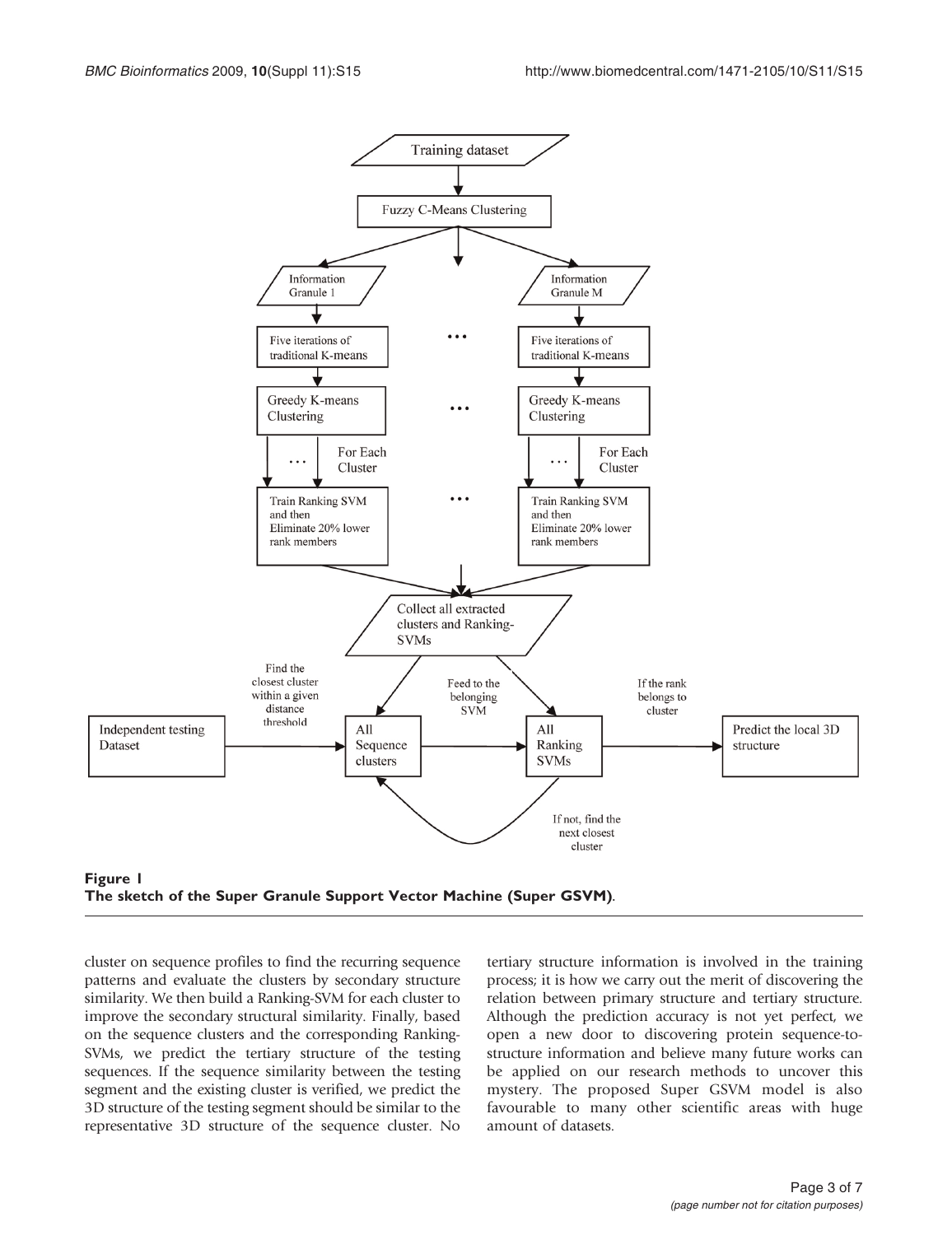<span id="page-2-0"></span>

The sketch of the Super Granule Support Vector Machine (Super GSVM).

cluster on sequence profiles to find the recurring sequence patterns and evaluate the clusters by secondary structure similarity. We then build a Ranking-SVM for each cluster to improve the secondary structural similarity. Finally, based on the sequence clusters and the corresponding Ranking-SVMs, we predict the tertiary structure of the testing sequences. If the sequence similarity between the testing segment and the existing cluster is verified, we predict the 3D structure of the testing segment should be similar to the representative 3D structure of the sequence cluster. No tertiary structure information is involved in the training process; it is how we carry out the merit of discovering the relation between primary structure and tertiary structure. Although the prediction accuracy is not yet perfect, we open a new door to discovering protein sequence-tostructure information and believe many future works can be applied on our research methods to uncover this mystery. The proposed Super GSVM model is also favourable to many other scientific areas with huge amount of datasets.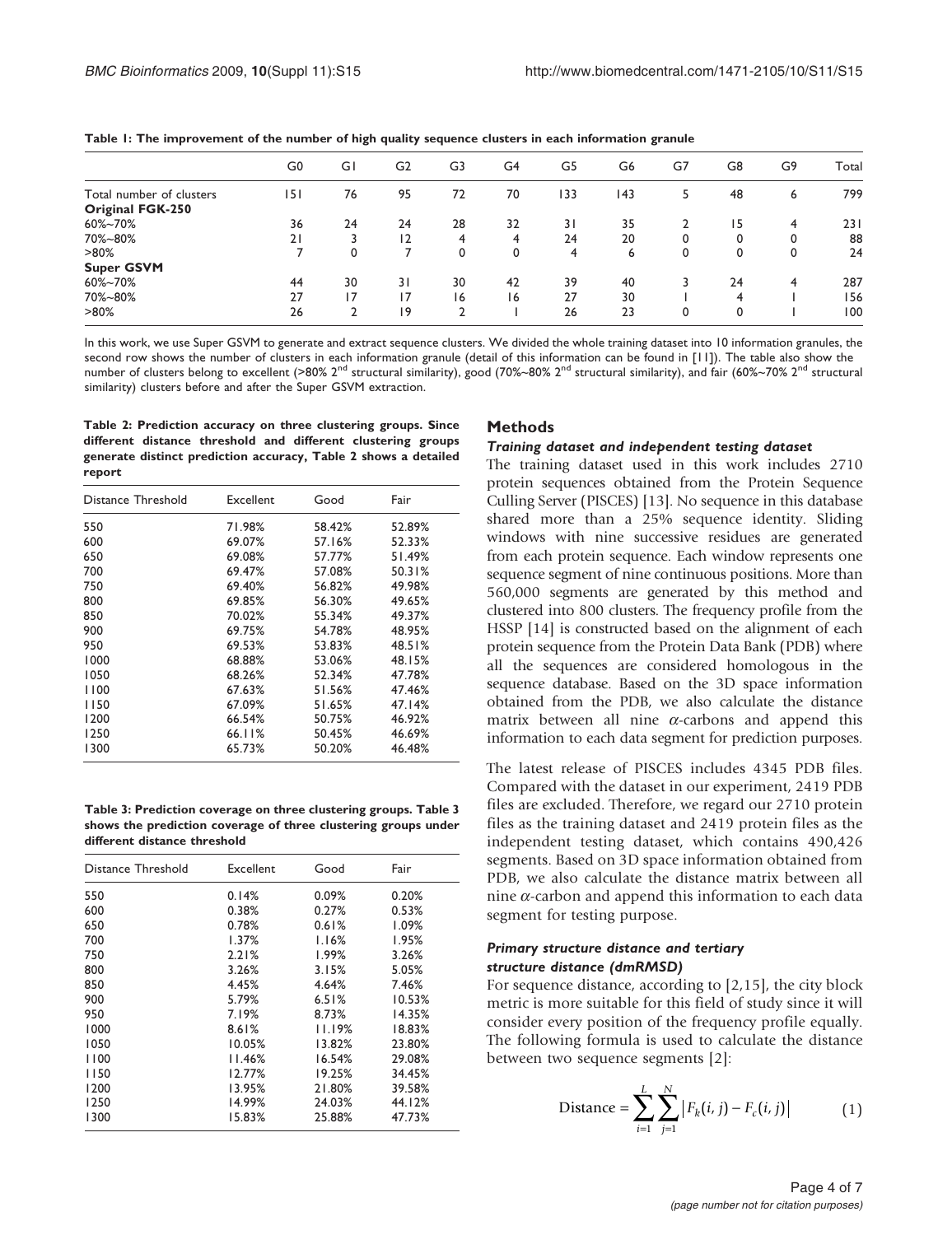<span id="page-3-0"></span>

| Table I: The improvement of the number of high quality sequence clusters in each information granule |  |  |                         |  |  |
|------------------------------------------------------------------------------------------------------|--|--|-------------------------|--|--|
|                                                                                                      |  |  | CI CO C3 C4 C5 C4 C7 C8 |  |  |

|                          | G0  | GI | G <sub>2</sub> | G3 | G4 | G5  | G6  | G7 | G8 | G9 | Total |
|--------------------------|-----|----|----------------|----|----|-----|-----|----|----|----|-------|
| Total number of clusters | 151 | 76 | 95             | 72 | 70 | 133 | 143 |    | 48 | 6  | 799   |
| <b>Original FGK-250</b>  |     |    |                |    |    |     |     |    |    |    |       |
| 60%~70%                  | 36  | 24 | 24             | 28 | 32 | 31  | 35  |    | 15 | 4  | 231   |
| 70%~80%                  | 21  |    | 12             | 4  | 4  | 24  | 20  | 0  | 0  | 0  | 88    |
| $>80\%$                  |     | 0  |                | 0  | 0  | 4   | 6   | 0  | 0  | 0  | 24    |
| <b>Super GSVM</b>        |     |    |                |    |    |     |     |    |    |    |       |
| 60%~70%                  | 44  | 30 | 31             | 30 | 42 | 39  | 40  |    | 24 | 4  | 287   |
| 70%~80%                  | 27  | 17 | 17             | 16 | 16 | 27  | 30  |    | 4  |    | 156   |
| $>80\%$                  | 26  |    | 19             | 2  |    | 26  | 23  | 0  | 0  |    | 100   |

In this work, we use Super GSVM to generate and extract sequence clusters. We divided the whole training dataset into 10 information granules, the second row shows the number of clusters in each information granule (detail of this information can be found in [[11\]](#page-6-0)). The table also show the number of clusters belong to excellent (>80% 2<sup>nd</sup> structural similarity), good (70%~80% 2<sup>nd</sup> structural similarity), and fair (60%~70% 2<sup>nd</sup> structural similarity) clusters before and after the Super GSVM extraction.

Table 2: Prediction accuracy on three clustering groups. Since different distance threshold and different clustering groups generate distinct prediction accuracy, Table 2 shows a detailed report

| Distance Threshold | Excellent | Good   | Fair   |
|--------------------|-----------|--------|--------|
| 550                | 71.98%    | 58.42% | 52.89% |
| 600                | 69.07%    | 57.16% | 52.33% |
| 650                | 69.08%    | 57.77% | 51.49% |
| 700                | 69.47%    | 57.08% | 50.31% |
| 750                | 69.40%    | 56.82% | 49.98% |
| 800                | 69.85%    | 56.30% | 49.65% |
| 850                | 70.02%    | 55.34% | 49.37% |
| 900                | 69.75%    | 54.78% | 48.95% |
| 950                | 69.53%    | 53.83% | 48.51% |
| 1000               | 68.88%    | 53.06% | 48.15% |
| 1050               | 68.26%    | 52.34% | 47.78% |
| 1100               | 67.63%    | 51.56% | 47.46% |
| 1150               | 67.09%    | 51.65% | 47.14% |
| 1200               | 66.54%    | 50.75% | 46.92% |
| 1250               | 66.11%    | 50.45% | 46.69% |
| 1300               | 65.73%    | 50.20% | 46.48% |

Table 3: Prediction coverage on three clustering groups. Table 3 shows the prediction coverage of three clustering groups under different distance threshold

| Distance Threshold | Excellent | Good     | Fair   |
|--------------------|-----------|----------|--------|
| 550                | 0.14%     | $0.09\%$ | 0.20%  |
| 600                | 0.38%     | 0.27%    | 0.53%  |
| 650                | 0.78%     | 0.61%    | I.09%  |
| 700                | 1.37%     | 1.16%    | 1.95%  |
| 750                | 2.21%     | 1.99%    | 3.26%  |
| 800                | 3.26%     | 3.15%    | 5.05%  |
| 850                | 4.45%     | 4.64%    | 7.46%  |
| 900                | 5.79%     | 6.51%    | 10.53% |
| 950                | 7.19%     | 8.73%    | 14.35% |
| 1000               | 8.61%     | 11.19%   | 18.83% |
| 1050               | 10.05%    | 13.82%   | 23.80% |
| 1100               | 11.46%    | 16.54%   | 29.08% |
| l I 50             | 12.77%    | 19.25%   | 34.45% |
| 1200               | 13.95%    | 21.80%   | 39.58% |
| 1250               | 14.99%    | 24.03%   | 44.12% |
| 1300               | 15.83%    | 25.88%   | 47.73% |

#### **Methods**

#### Training dataset and independent testing dataset

The training dataset used in this work includes 2710 protein sequences obtained from the Protein Sequence Culling Server (PISCES) [\[13\]](#page-6-0). No sequence in this database shared more than a 25% sequence identity. Sliding windows with nine successive residues are generated from each protein sequence. Each window represents one sequence segment of nine continuous positions. More than 560,000 segments are generated by this method and clustered into 800 clusters. The frequency profile from the HSSP [[14](#page-6-0)] is constructed based on the alignment of each protein sequence from the Protein Data Bank (PDB) where all the sequences are considered homologous in the sequence database. Based on the 3D space information obtained from the PDB, we also calculate the distance matrix between all nine  $\alpha$ -carbons and append this information to each data segment for prediction purposes.

The latest release of PISCES includes 4345 PDB files. Compared with the dataset in our experiment, 2419 PDB files are excluded. Therefore, we regard our 2710 protein files as the training dataset and 2419 protein files as the independent testing dataset, which contains 490,426 segments. Based on 3D space information obtained from PDB, we also calculate the distance matrix between all nine  $\alpha$ -carbon and append this information to each data segment for testing purpose.

#### Primary structure distance and tertiary structure distance (dmRMSD)

For sequence distance, according to [[2](#page-6-0),[15\]](#page-6-0), the city block metric is more suitable for this field of study since it will consider every position of the frequency profile equally. The following formula is used to calculate the distance between two sequence segments [[2](#page-6-0)]:

Distance = 
$$
\sum_{i=1}^{L} \sum_{j=1}^{N} |F_k(i, j) - F_c(i, j)|
$$
 (1)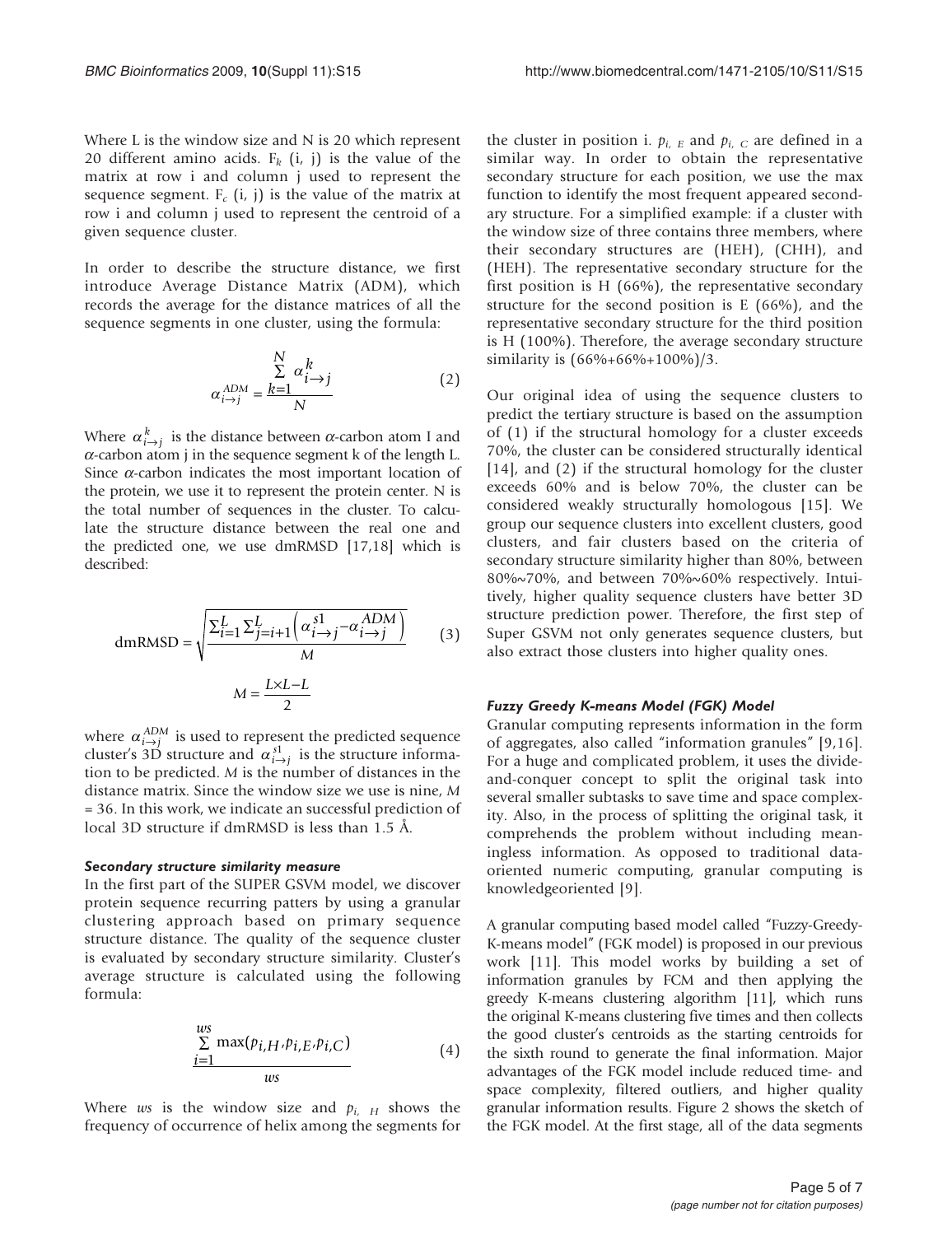Where L is the window size and N is 20 which represent 20 different amino acids.  $F_k$  (i, j) is the value of the matrix at row i and column j used to represent the sequence segment.  $F_c$  (i, j) is the value of the matrix at row i and column j used to represent the centroid of a given sequence cluster.

In order to describe the structure distance, we first introduce Average Distance Matrix (ADM), which records the average for the distance matrices of all the sequence segments in one cluster, using the formula:

$$
\alpha_{i \to j}^{ADM} = \frac{\sum_{k=1}^{N} \alpha_{i \to j}^{k}}{N}
$$
 (2)

Where  $\alpha_{i\to j}^k$  is the distance between  $\alpha$ -carbon atom I and  $\alpha$ -carbon atom j in the sequence segment k of the length L. Since  $\alpha$ -carbon indicates the most important location of the protein, we use it to represent the protein center. N is the total number of sequences in the cluster. To calculate the structure distance between the real one and the predicted one, we use dmRMSD [[17](#page-6-0),[18](#page-6-0)] which is described:

dmRMSD = 
$$
\sqrt{\frac{\sum_{i=1}^{L} \sum_{j=i+1}^{L} \left( \alpha_{i \to j}^{s1} - \alpha_{i \to j}^{ADM} \right)}{M}}
$$
 (3)  

$$
M = \frac{L \times L - L}{2}
$$

where  $\alpha_{i\rightarrow j}^{ADM}$  is used to represent the predicted sequence cluster's 3D structure and  $\alpha_{i\to j}^{s_1}$  is the structure information to be predicted. M is the number of distances in the distance matrix. Since the window size we use is nine, M = 36. In this work, we indicate an successful prediction of local 3D structure if dmRMSD is less than 1.5 Å.

#### Secondary structure similarity measure

In the first part of the SUPER GSVM model, we discover protein sequence recurring patters by using a granular clustering approach based on primary sequence structure distance. The quality of the sequence cluster is evaluated by secondary structure similarity. Cluster's average structure is calculated using the following formula:

$$
\sum_{i=1}^{ws} \max(p_{i,H}, p_{i,E}, p_{i,C})
$$
\n<sup>(4)</sup>

Where *ws* is the window size and  $p_{i, H}$  shows the frequency of occurrence of helix among the segments for the cluster in position i.  $p_{i, E}$  and  $p_{i, C}$  are defined in a similar way. In order to obtain the representative secondary structure for each position, we use the max function to identify the most frequent appeared secondary structure. For a simplified example: if a cluster with the window size of three contains three members, where their secondary structures are (HEH), (CHH), and (HEH). The representative secondary structure for the first position is H (66%), the representative secondary structure for the second position is E (66%), and the representative secondary structure for the third position is H (100%). Therefore, the average secondary structure similarity is  $(66\% + 66\% + 100\%)/3$ .

Our original idea of using the sequence clusters to predict the tertiary structure is based on the assumption of (1) if the structural homology for a cluster exceeds 70%, the cluster can be considered structurally identical [[14](#page-6-0)], and (2) if the structural homology for the cluster exceeds 60% and is below 70%, the cluster can be considered weakly structurally homologous [[15\]](#page-6-0). We group our sequence clusters into excellent clusters, good clusters, and fair clusters based on the criteria of secondary structure similarity higher than 80%, between 80%~70%, and between 70%~60% respectively. Intuitively, higher quality sequence clusters have better 3D structure prediction power. Therefore, the first step of Super GSVM not only generates sequence clusters, but also extract those clusters into higher quality ones.

#### Fuzzy Greedy K-means Model (FGK) Model

Granular computing represents information in the form of aggregates, also called "information granules" [\[9,16](#page-6-0)]. For a huge and complicated problem, it uses the divideand-conquer concept to split the original task into several smaller subtasks to save time and space complexity. Also, in the process of splitting the original task, it comprehends the problem without including meaningless information. As opposed to traditional dataoriented numeric computing, granular computing is knowledgeoriented [[9](#page-6-0)].

A granular computing based model called "Fuzzy-Greedy-K-means model" (FGK model) is proposed in our previous work [\[11](#page-6-0)]. This model works by building a set of information granules by FCM and then applying the greedy K-means clustering algorithm [[11](#page-6-0)], which runs the original K-means clustering five times and then collects the good cluster's centroids as the starting centroids for the sixth round to generate the final information. Major advantages of the FGK model include reduced time- and space complexity, filtered outliers, and higher quality granular information results. [Figure 2](#page-5-0) shows the sketch of the FGK model. At the first stage, all of the data segments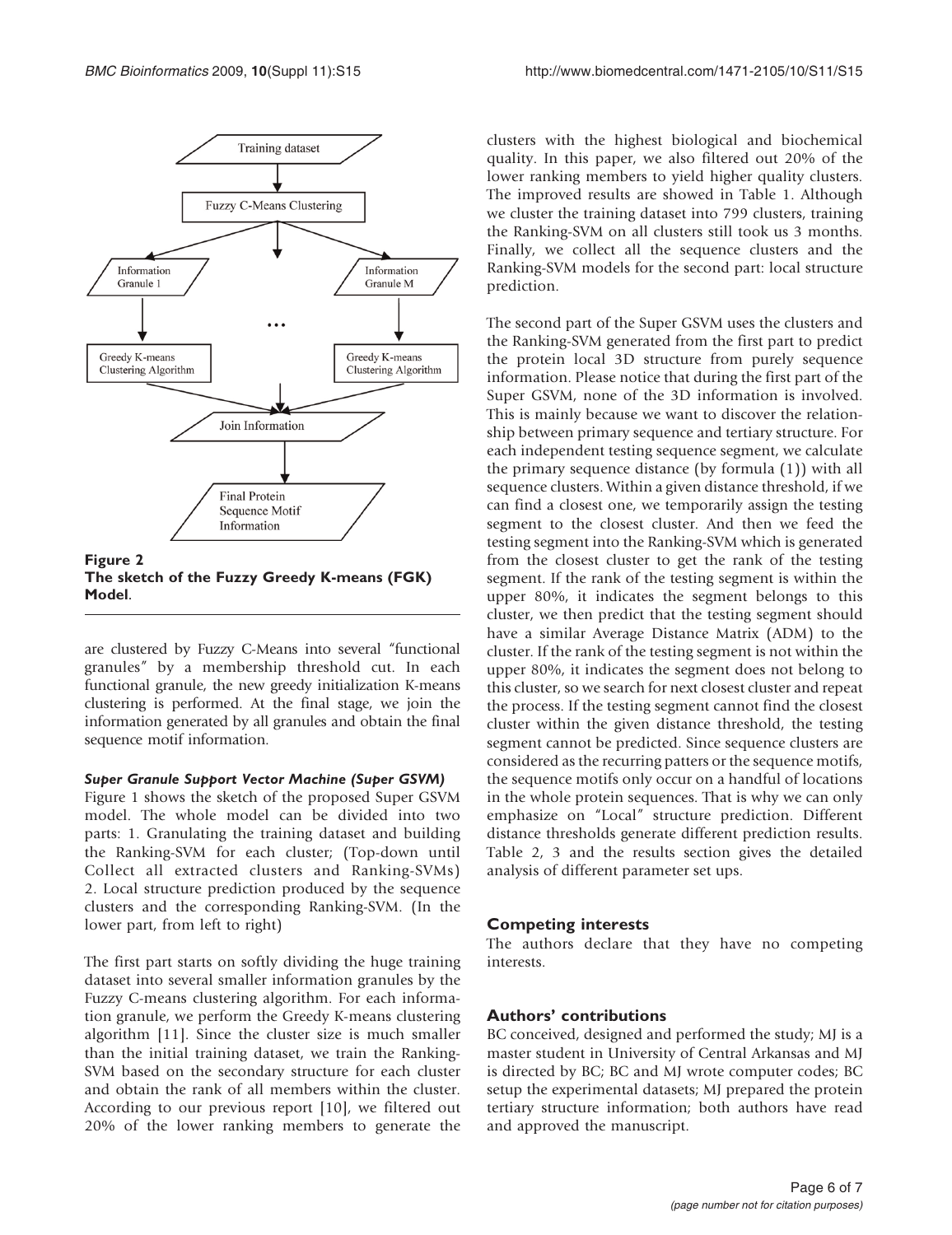<span id="page-5-0"></span>

are clustered by Fuzzy C-Means into several "functional granules" by a membership threshold cut. In each functional granule, the new greedy initialization K-means clustering is performed. At the final stage, we join the information generated by all granules and obtain the final sequence motif information.

## Super Granule Support Vector Machine (Super GSVM)

[Figure 1](#page-2-0) shows the sketch of the proposed Super GSVM model. The whole model can be divided into two parts: 1. Granulating the training dataset and building the Ranking-SVM for each cluster; (Top-down until Collect all extracted clusters and Ranking-SVMs) 2. Local structure prediction produced by the sequence clusters and the corresponding Ranking-SVM. (In the lower part, from left to right)

The first part starts on softly dividing the huge training dataset into several smaller information granules by the Fuzzy C-means clustering algorithm. For each information granule, we perform the Greedy K-means clustering algorithm [\[11](#page-6-0)]. Since the cluster size is much smaller than the initial training dataset, we train the Ranking-SVM based on the secondary structure for each cluster and obtain the rank of all members within the cluster. According to our previous report [\[10](#page-6-0)], we filtered out 20% of the lower ranking members to generate the

clusters with the highest biological and biochemical quality. In this paper, we also filtered out 20% of the lower ranking members to yield higher quality clusters. The improved results are showed in [Table 1.](#page-3-0) Although we cluster the training dataset into 799 clusters, training the Ranking-SVM on all clusters still took us 3 months. Finally, we collect all the sequence clusters and the Ranking-SVM models for the second part: local structure prediction.

The second part of the Super GSVM uses the clusters and the Ranking-SVM generated from the first part to predict the protein local 3D structure from purely sequence information. Please notice that during the first part of the Super GSVM, none of the 3D information is involved. This is mainly because we want to discover the relationship between primary sequence and tertiary structure. For each independent testing sequence segment, we calculate the primary sequence distance (by formula (1)) with all sequence clusters. Within a given distance threshold, if we can find a closest one, we temporarily assign the testing segment to the closest cluster. And then we feed the testing segment into the Ranking-SVM which is generated from the closest cluster to get the rank of the testing segment. If the rank of the testing segment is within the upper 80%, it indicates the segment belongs to this cluster, we then predict that the testing segment should have a similar Average Distance Matrix (ADM) to the cluster. If the rank of the testing segment is not within the upper 80%, it indicates the segment does not belong to this cluster, so we search for next closest cluster and repeat the process. If the testing segment cannot find the closest cluster within the given distance threshold, the testing segment cannot be predicted. Since sequence clusters are considered as the recurring patters or the sequence motifs, the sequence motifs only occur on a handful of locations in the whole protein sequences. That is why we can only emphasize on "Local" structure prediction. Different distance thresholds generate different prediction results. [Table 2](#page-3-0), [3](#page-3-0) and the results section gives the detailed analysis of different parameter set ups.

## Competing interests

The authors declare that they have no competing interests.

## Authors' contributions

BC conceived, designed and performed the study; MJ is a master student in University of Central Arkansas and MJ is directed by BC; BC and MJ wrote computer codes; BC setup the experimental datasets; MJ prepared the protein tertiary structure information; both authors have read and approved the manuscript.